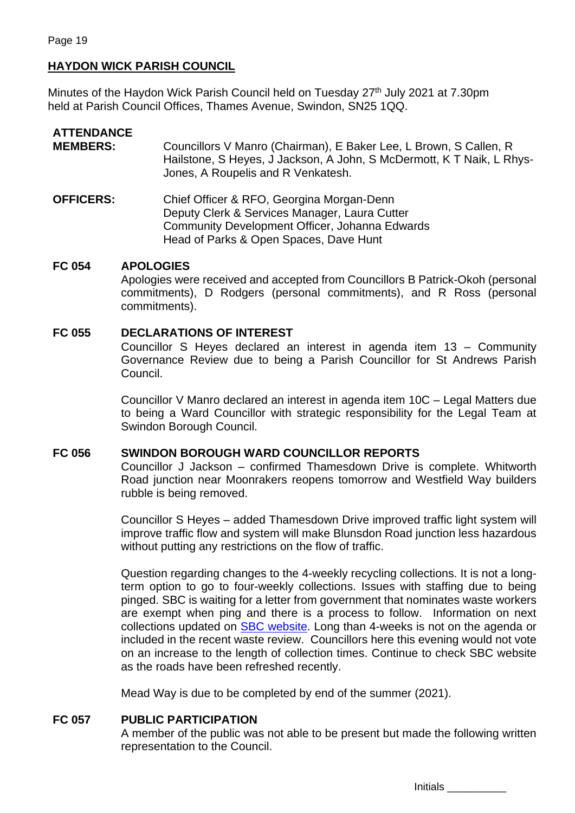## **HAYDON WICK PARISH COUNCIL**

Minutes of the Haydon Wick Parish Council held on Tuesday 27<sup>th</sup> July 2021 at 7.30pm held at Parish Council Offices, Thames Avenue, Swindon, SN25 1QQ.

### **ATTENDANCE**

- **MEMBERS:** Councillors V Manro (Chairman), E Baker Lee, L Brown, S Callen, R Hailstone, S Heyes, J Jackson, A John, S McDermott, K T Naik, L Rhys-Jones, A Roupelis and R Venkatesh.
- **OFFICERS:** Chief Officer & RFO, Georgina Morgan-Denn Deputy Clerk & Services Manager, Laura Cutter Community Development Officer, Johanna Edwards Head of Parks & Open Spaces, Dave Hunt

### **FC 054 APOLOGIES**

Apologies were received and accepted from Councillors B Patrick-Okoh (personal commitments), D Rodgers (personal commitments), and R Ross (personal commitments).

### **FC 055 DECLARATIONS OF INTEREST**

Councillor S Heyes declared an interest in agenda item 13 – Community Governance Review due to being a Parish Councillor for St Andrews Parish Council.

Councillor V Manro declared an interest in agenda item 10C – Legal Matters due to being a Ward Councillor with strategic responsibility for the Legal Team at Swindon Borough Council.

### **FC 056 SWINDON BOROUGH WARD COUNCILLOR REPORTS**

Councillor J Jackson – confirmed Thamesdown Drive is complete. Whitworth Road junction near Moonrakers reopens tomorrow and Westfield Way builders rubble is being removed.

Councillor S Heyes – added Thamesdown Drive improved traffic light system will improve traffic flow and system will make Blunsdon Road junction less hazardous without putting any restrictions on the flow of traffic.

Question regarding changes to the 4-weekly recycling collections. It is not a longterm option to go to four-weekly collections. Issues with staffing due to being pinged. SBC is waiting for a letter from government that nominates waste workers are exempt when ping and there is a process to follow. Information on next collections updated on [SBC website.](https://www.swindon.gov.uk/info/20015/bins_rubbish_and_recycling/1206/covid-19_-_disruption_to_recycling_collections) Long than 4-weeks is not on the agenda or included in the recent waste review. Councillors here this evening would not vote on an increase to the length of collection times. Continue to check SBC website as the roads have been refreshed recently.

Mead Way is due to be completed by end of the summer (2021).

### **FC 057 PUBLIC PARTICIPATION**

A member of the public was not able to be present but made the following written representation to the Council.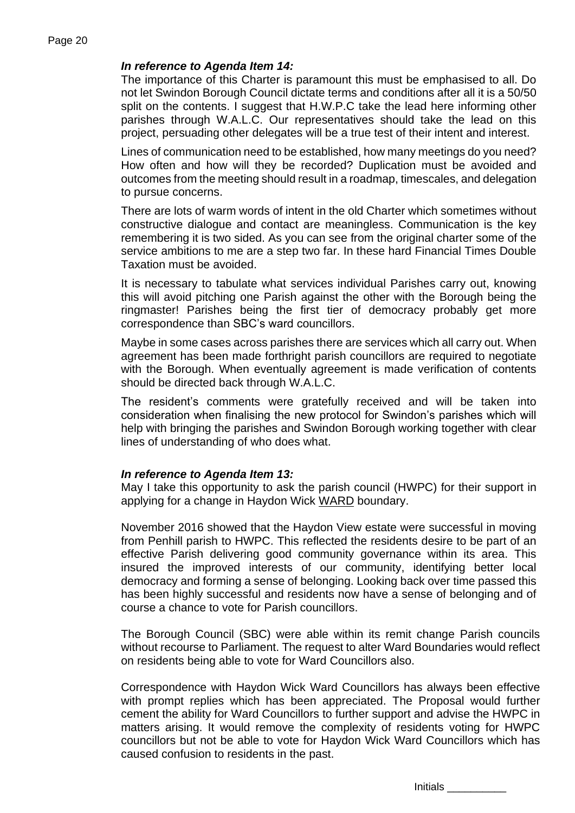## *In reference to Agenda Item 14:*

The importance of this Charter is paramount this must be emphasised to all. Do not let Swindon Borough Council dictate terms and conditions after all it is a 50/50 split on the contents. I suggest that H.W.P.C take the lead here informing other parishes through W.A.L.C. Our representatives should take the lead on this project, persuading other delegates will be a true test of their intent and interest.

Lines of communication need to be established, how many meetings do you need? How often and how will they be recorded? Duplication must be avoided and outcomes from the meeting should result in a roadmap, timescales, and delegation to pursue concerns.

There are lots of warm words of intent in the old Charter which sometimes without constructive dialogue and contact are meaningless. Communication is the key remembering it is two sided. As you can see from the original charter some of the service ambitions to me are a step two far. In these hard Financial Times Double Taxation must be avoided.

It is necessary to tabulate what services individual Parishes carry out, knowing this will avoid pitching one Parish against the other with the Borough being the ringmaster! Parishes being the first tier of democracy probably get more correspondence than SBC's ward councillors.

Maybe in some cases across parishes there are services which all carry out. When agreement has been made forthright parish councillors are required to negotiate with the Borough. When eventually agreement is made verification of contents should be directed back through W.A.L.C.

The resident's comments were gratefully received and will be taken into consideration when finalising the new protocol for Swindon's parishes which will help with bringing the parishes and Swindon Borough working together with clear lines of understanding of who does what.

### *In reference to Agenda Item 13:*

May I take this opportunity to ask the parish council (HWPC) for their support in applying for a change in Haydon Wick WARD boundary.

November 2016 showed that the Haydon View estate were successful in moving from Penhill parish to HWPC. This reflected the residents desire to be part of an effective Parish delivering good community governance within its area. This insured the improved interests of our community, identifying better local democracy and forming a sense of belonging. Looking back over time passed this has been highly successful and residents now have a sense of belonging and of course a chance to vote for Parish councillors.

The Borough Council (SBC) were able within its remit change Parish councils without recourse to Parliament. The request to alter Ward Boundaries would reflect on residents being able to vote for Ward Councillors also.

Correspondence with Haydon Wick Ward Councillors has always been effective with prompt replies which has been appreciated. The Proposal would further cement the ability for Ward Councillors to further support and advise the HWPC in matters arising. It would remove the complexity of residents voting for HWPC councillors but not be able to vote for Haydon Wick Ward Councillors which has caused confusion to residents in the past.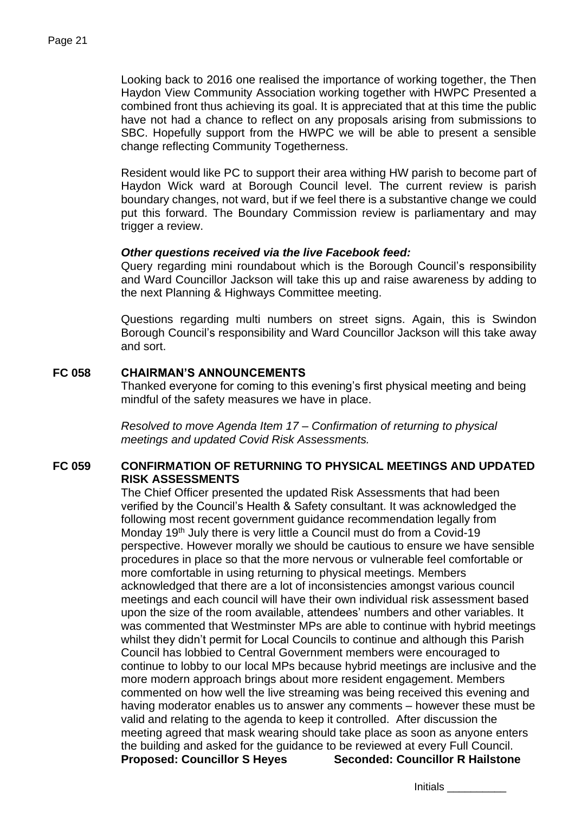Looking back to 2016 one realised the importance of working together, the Then Haydon View Community Association working together with HWPC Presented a combined front thus achieving its goal. It is appreciated that at this time the public have not had a chance to reflect on any proposals arising from submissions to SBC. Hopefully support from the HWPC we will be able to present a sensible change reflecting Community Togetherness.

Resident would like PC to support their area withing HW parish to become part of Haydon Wick ward at Borough Council level. The current review is parish boundary changes, not ward, but if we feel there is a substantive change we could put this forward. The Boundary Commission review is parliamentary and may trigger a review.

### *Other questions received via the live Facebook feed:*

Query regarding mini roundabout which is the Borough Council's responsibility and Ward Councillor Jackson will take this up and raise awareness by adding to the next Planning & Highways Committee meeting.

Questions regarding multi numbers on street signs. Again, this is Swindon Borough Council's responsibility and Ward Councillor Jackson will this take away and sort.

### **FC 058 CHAIRMAN'S ANNOUNCEMENTS**

Thanked everyone for coming to this evening's first physical meeting and being mindful of the safety measures we have in place.

*Resolved to move Agenda Item 17 – Confirmation of returning to physical meetings and updated Covid Risk Assessments.*

## **FC 059 CONFIRMATION OF RETURNING TO PHYSICAL MEETINGS AND UPDATED RISK ASSESSMENTS**

The Chief Officer presented the updated Risk Assessments that had been verified by the Council's Health & Safety consultant. It was acknowledged the following most recent government guidance recommendation legally from Monday 19<sup>th</sup> July there is very little a Council must do from a Covid-19 perspective. However morally we should be cautious to ensure we have sensible procedures in place so that the more nervous or vulnerable feel comfortable or more comfortable in using returning to physical meetings. Members acknowledged that there are a lot of inconsistencies amongst various council meetings and each council will have their own individual risk assessment based upon the size of the room available, attendees' numbers and other variables. It was commented that Westminster MPs are able to continue with hybrid meetings whilst they didn't permit for Local Councils to continue and although this Parish Council has lobbied to Central Government members were encouraged to continue to lobby to our local MPs because hybrid meetings are inclusive and the more modern approach brings about more resident engagement. Members commented on how well the live streaming was being received this evening and having moderator enables us to answer any comments – however these must be valid and relating to the agenda to keep it controlled. After discussion the meeting agreed that mask wearing should take place as soon as anyone enters the building and asked for the guidance to be reviewed at every Full Council. **Proposed: Councillor S Heyes Seconded: Councillor R Hailstone**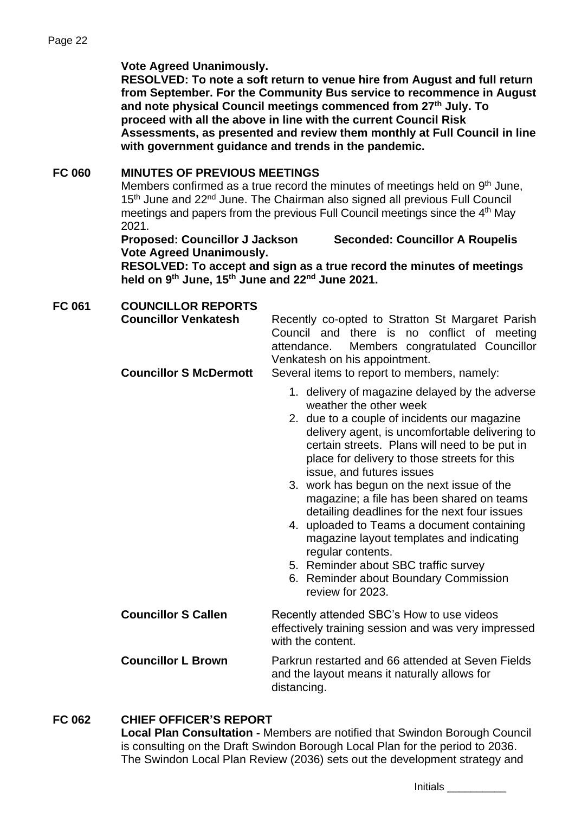### **Vote Agreed Unanimously.**

**RESOLVED: To note a soft return to venue hire from August and full return from September. For the Community Bus service to recommence in August and note physical Council meetings commenced from 27th July. To proceed with all the above in line with the current Council Risk Assessments, as presented and review them monthly at Full Council in line with government guidance and trends in the pandemic.** 

## **FC 060 MINUTES OF PREVIOUS MEETINGS**

Members confirmed as a true record the minutes of meetings held on 9<sup>th</sup> June, 15<sup>th</sup> June and 22<sup>nd</sup> June. The Chairman also signed all previous Full Council meetings and papers from the previous Full Council meetings since the 4<sup>th</sup> May 2021.

**Proposed: Councillor J Jackson Seconded: Councillor A Roupelis Vote Agreed Unanimously.**

**RESOLVED: To accept and sign as a true record the minutes of meetings held on 9th June, 15th June and 22nd June 2021.**

| <b>FC 061</b> | <b>COUNCILLOR REPORTS</b><br><b>Councillor Venkatesh</b><br><b>Councillor S McDermott</b> | Recently co-opted to Stratton St Margaret Parish<br>Council and there is no conflict of meeting<br>Members congratulated Councillor<br>attendance.<br>Venkatesh on his appointment.<br>Several items to report to members, namely:                                                                                                                                                                                                                                                                                                                                                                                                                                      |
|---------------|-------------------------------------------------------------------------------------------|-------------------------------------------------------------------------------------------------------------------------------------------------------------------------------------------------------------------------------------------------------------------------------------------------------------------------------------------------------------------------------------------------------------------------------------------------------------------------------------------------------------------------------------------------------------------------------------------------------------------------------------------------------------------------|
|               |                                                                                           | 1. delivery of magazine delayed by the adverse<br>weather the other week<br>2. due to a couple of incidents our magazine<br>delivery agent, is uncomfortable delivering to<br>certain streets. Plans will need to be put in<br>place for delivery to those streets for this<br>issue, and futures issues<br>3. work has begun on the next issue of the<br>magazine; a file has been shared on teams<br>detailing deadlines for the next four issues<br>4. uploaded to Teams a document containing<br>magazine layout templates and indicating<br>regular contents.<br>5. Reminder about SBC traffic survey<br>6. Reminder about Boundary Commission<br>review for 2023. |
|               | <b>Councillor S Callen</b>                                                                | Recently attended SBC's How to use videos<br>effectively training session and was very impressed<br>with the content.                                                                                                                                                                                                                                                                                                                                                                                                                                                                                                                                                   |
|               | <b>Councillor L Brown</b>                                                                 | Parkrun restarted and 66 attended at Seven Fields<br>and the layout means it naturally allows for<br>distancing.                                                                                                                                                                                                                                                                                                                                                                                                                                                                                                                                                        |

## **FC 062 CHIEF OFFICER'S REPORT**

**Local Plan Consultation -** Members are notified that Swindon Borough Council is consulting on the Draft Swindon Borough Local Plan for the period to 2036. The Swindon Local Plan Review (2036) sets out the development strategy and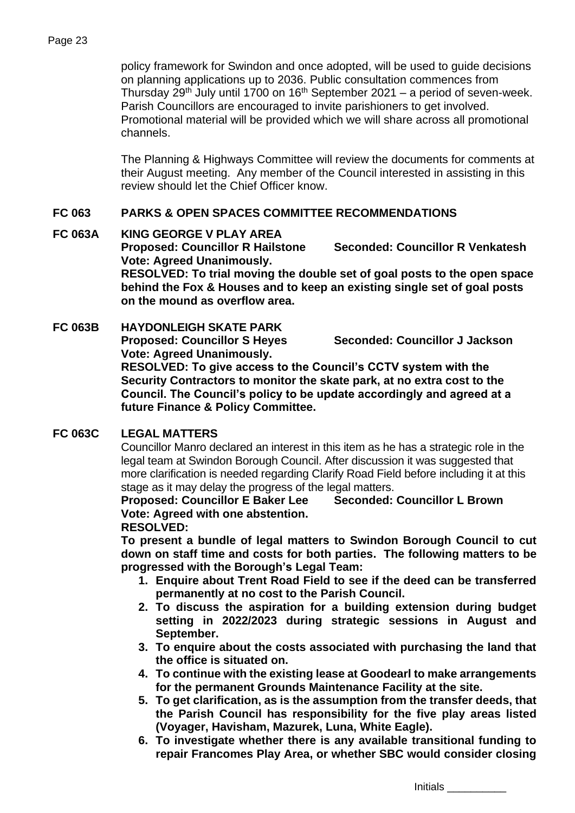policy framework for Swindon and once adopted, will be used to guide decisions on planning applications up to 2036. Public consultation commences from Thursday 29<sup>th</sup> July until 1700 on 16<sup>th</sup> September 2021 – a period of seven-week. Parish Councillors are encouraged to invite parishioners to get involved. Promotional material will be provided which we will share across all promotional channels.

The Planning & Highways Committee will review the documents for comments at their August meeting. Any member of the Council interested in assisting in this review should let the Chief Officer know.

## **FC 063 PARKS & OPEN SPACES COMMITTEE RECOMMENDATIONS**

## **FC 063A KING GEORGE V PLAY AREA**

**Proposed: Councillor R Hailstone Seconded: Councillor R Venkatesh Vote: Agreed Unanimously.** 

**RESOLVED: To trial moving the double set of goal posts to the open space behind the Fox & Houses and to keep an existing single set of goal posts on the mound as overflow area.**

## **FC 063B HAYDONLEIGH SKATE PARK**

**Proposed: Councillor S Heyes Seconded: Councillor J Jackson**

**Vote: Agreed Unanimously.** 

**RESOLVED: To give access to the Council's CCTV system with the Security Contractors to monitor the skate park, at no extra cost to the Council. The Council's policy to be update accordingly and agreed at a future Finance & Policy Committee.**

## **FC 063C LEGAL MATTERS**

Councillor Manro declared an interest in this item as he has a strategic role in the legal team at Swindon Borough Council. After discussion it was suggested that more clarification is needed regarding Clarify Road Field before including it at this stage as it may delay the progress of the legal matters.

# **Proposed: Councillor E Baker Lee Seconded: Councillor L Brown Vote: Agreed with one abstention.**

### **RESOLVED:**

**To present a bundle of legal matters to Swindon Borough Council to cut down on staff time and costs for both parties. The following matters to be progressed with the Borough's Legal Team:**

- **1. Enquire about Trent Road Field to see if the deed can be transferred permanently at no cost to the Parish Council.**
- **2. To discuss the aspiration for a building extension during budget setting in 2022/2023 during strategic sessions in August and September.**
- **3. To enquire about the costs associated with purchasing the land that the office is situated on.**
- **4. To continue with the existing lease at Goodearl to make arrangements for the permanent Grounds Maintenance Facility at the site.**
- **5. To get clarification, as is the assumption from the transfer deeds, that the Parish Council has responsibility for the five play areas listed (Voyager, Havisham, Mazurek, Luna, White Eagle).**
- **6. To investigate whether there is any available transitional funding to repair Francomes Play Area, or whether SBC would consider closing**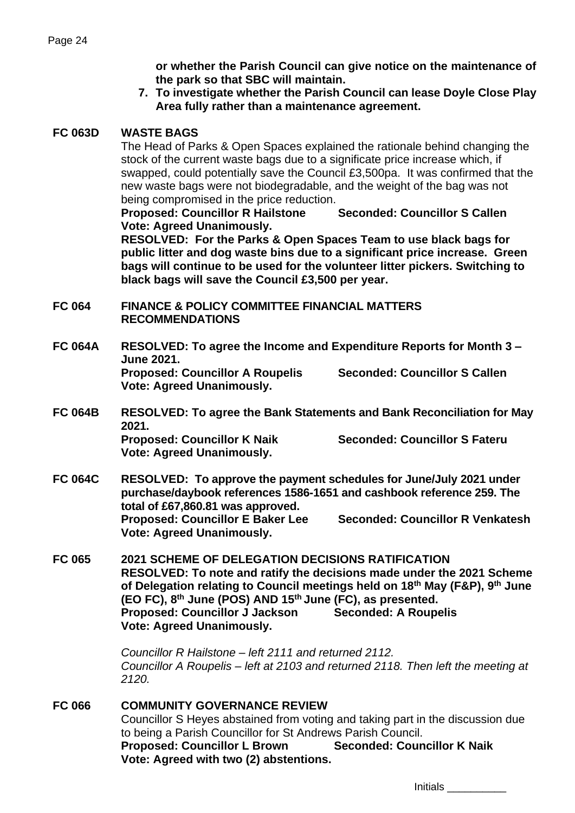**or whether the Parish Council can give notice on the maintenance of the park so that SBC will maintain.**

**7. To investigate whether the Parish Council can lease Doyle Close Play Area fully rather than a maintenance agreement.**

## **FC 063D WASTE BAGS**

The Head of Parks & Open Spaces explained the rationale behind changing the stock of the current waste bags due to a significate price increase which, if swapped, could potentially save the Council £3,500pa. It was confirmed that the new waste bags were not biodegradable, and the weight of the bag was not being compromised in the price reduction.

**Proposed: Councillor R Hailstone Seconded: Councillor S Callen Vote: Agreed Unanimously.** 

**RESOLVED: For the Parks & Open Spaces Team to use black bags for public litter and dog waste bins due to a significant price increase. Green bags will continue to be used for the volunteer litter pickers. Switching to black bags will save the Council £3,500 per year.** 

**FC 064 FINANCE & POLICY COMMITTEE FINANCIAL MATTERS RECOMMENDATIONS**

- **FC 064A RESOLVED: To agree the Income and Expenditure Reports for Month 3 – June 2021. Proposed: Councillor A Roupelis Seconded: Councillor S Callen Vote: Agreed Unanimously.**
- **FC 064B RESOLVED: To agree the Bank Statements and Bank Reconciliation for May 2021. Proposed: Councillor K Naik Seconded: Councillor S Fateru**

**Vote: Agreed Unanimously.** 

**FC 064C RESOLVED: To approve the payment schedules for June/July 2021 under purchase/daybook references 1586-1651 and cashbook reference 259. The total of £67,860.81 was approved. Proposed: Councillor E Baker Lee Seconded: Councillor R Venkatesh Vote: Agreed Unanimously.** 

**FC 065 2021 SCHEME OF DELEGATION DECISIONS RATIFICATION RESOLVED: To note and ratify the decisions made under the 2021 Scheme of Delegation relating to Council meetings held on 18th May (F&P), 9th June (EO FC), 8th June (POS) AND 15th June (FC), as presented. Proposed: Councillor J Jackson Seconded: A Roupelis Vote: Agreed Unanimously.**

> *Councillor R Hailstone – left 2111 and returned 2112. Councillor A Roupelis – left at 2103 and returned 2118. Then left the meeting at 2120.*

**FC 066 COMMUNITY GOVERNANCE REVIEW** Councillor S Heyes abstained from voting and taking part in the discussion due to being a Parish Councillor for St Andrews Parish Council. **Proposed: Councillor L Brown Seconded: Councillor K Naik Vote: Agreed with two (2) abstentions.**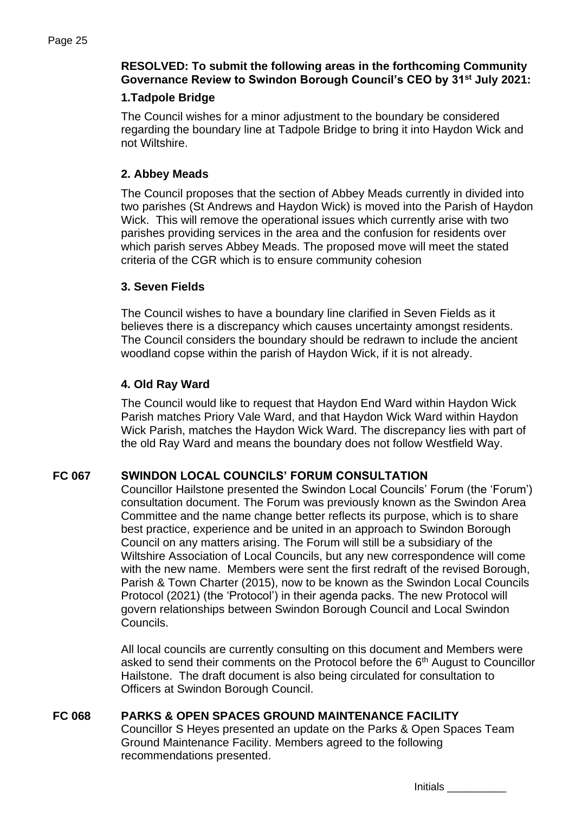## **RESOLVED: To submit the following areas in the forthcoming Community Governance Review to Swindon Borough Council's CEO by 31st July 2021:**

## **1.Tadpole Bridge**

The Council wishes for a minor adjustment to the boundary be considered regarding the boundary line at Tadpole Bridge to bring it into Haydon Wick and not Wiltshire.

## **2. Abbey Meads**

The Council proposes that the section of Abbey Meads currently in divided into two parishes (St Andrews and Haydon Wick) is moved into the Parish of Haydon Wick. This will remove the operational issues which currently arise with two parishes providing services in the area and the confusion for residents over which parish serves Abbey Meads. The proposed move will meet the stated criteria of the CGR which is to ensure community cohesion

## **3. Seven Fields**

The Council wishes to have a boundary line clarified in Seven Fields as it believes there is a discrepancy which causes uncertainty amongst residents. The Council considers the boundary should be redrawn to include the ancient woodland copse within the parish of Haydon Wick, if it is not already.

## **4. Old Ray Ward**

The Council would like to request that Haydon End Ward within Haydon Wick Parish matches Priory Vale Ward, and that Haydon Wick Ward within Haydon Wick Parish, matches the Haydon Wick Ward. The discrepancy lies with part of the old Ray Ward and means the boundary does not follow Westfield Way.

## **FC 067 SWINDON LOCAL COUNCILS' FORUM CONSULTATION**

Councillor Hailstone presented the Swindon Local Councils' Forum (the 'Forum') consultation document. The Forum was previously known as the Swindon Area Committee and the name change better reflects its purpose, which is to share best practice, experience and be united in an approach to Swindon Borough Council on any matters arising. The Forum will still be a subsidiary of the Wiltshire Association of Local Councils, but any new correspondence will come with the new name. Members were sent the first redraft of the revised Borough, Parish & Town Charter (2015), now to be known as the Swindon Local Councils Protocol (2021) (the 'Protocol') in their agenda packs. The new Protocol will govern relationships between Swindon Borough Council and Local Swindon Councils.

All local councils are currently consulting on this document and Members were asked to send their comments on the Protocol before the 6<sup>th</sup> August to Councillor Hailstone. The draft document is also being circulated for consultation to Officers at Swindon Borough Council.

## **FC 068 PARKS & OPEN SPACES GROUND MAINTENANCE FACILITY**

Councillor S Heyes presented an update on the Parks & Open Spaces Team Ground Maintenance Facility. Members agreed to the following recommendations presented.

| Initials |  |
|----------|--|
|----------|--|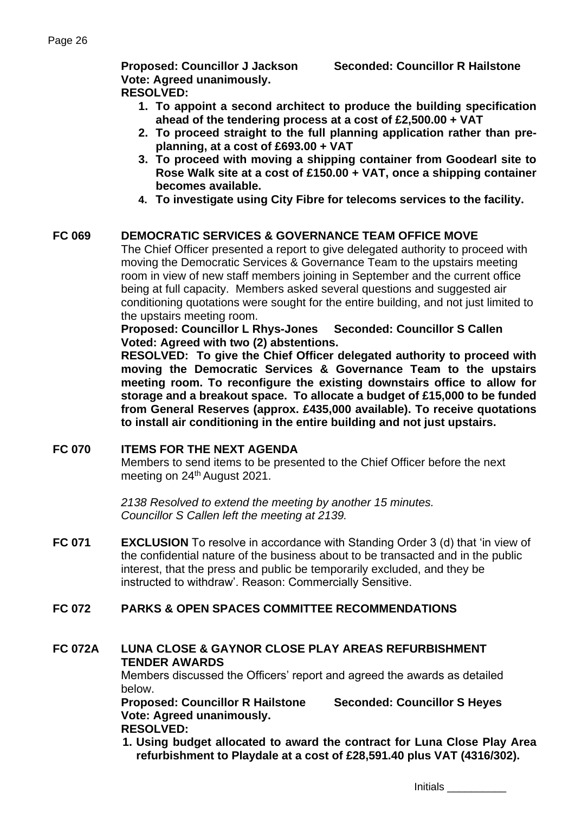**Vote: Agreed unanimously. RESOLVED:** 

**Proposed: Councillor J Jackson Seconded: Councillor R Hailstone**

- **1. To appoint a second architect to produce the building specification ahead of the tendering process at a cost of £2,500.00 + VAT**
- **2. To proceed straight to the full planning application rather than preplanning, at a cost of £693.00 + VAT**
- **3. To proceed with moving a shipping container from Goodearl site to Rose Walk site at a cost of £150.00 + VAT, once a shipping container becomes available.**
- **4. To investigate using City Fibre for telecoms services to the facility.**

# **FC 069 DEMOCRATIC SERVICES & GOVERNANCE TEAM OFFICE MOVE**

The Chief Officer presented a report to give delegated authority to proceed with moving the Democratic Services & Governance Team to the upstairs meeting room in view of new staff members joining in September and the current office being at full capacity. Members asked several questions and suggested air conditioning quotations were sought for the entire building, and not just limited to the upstairs meeting room.

**Proposed: Councillor L Rhys-Jones Seconded: Councillor S Callen Voted: Agreed with two (2) abstentions.**

**RESOLVED: To give the Chief Officer delegated authority to proceed with moving the Democratic Services & Governance Team to the upstairs meeting room. To reconfigure the existing downstairs office to allow for storage and a breakout space. To allocate a budget of £15,000 to be funded from General Reserves (approx. £435,000 available). To receive quotations to install air conditioning in the entire building and not just upstairs.** 

## **FC 070 ITEMS FOR THE NEXT AGENDA**

Members to send items to be presented to the Chief Officer before the next meeting on 24<sup>th</sup> August 2021.

*2138 Resolved to extend the meeting by another 15 minutes. Councillor S Callen left the meeting at 2139.*

**FC 071 EXCLUSION** To resolve in accordance with Standing Order 3 (d) that 'in view of the confidential nature of the business about to be transacted and in the public interest, that the press and public be temporarily excluded, and they be instructed to withdraw'. Reason: Commercially Sensitive.

# **FC 072 PARKS & OPEN SPACES COMMITTEE RECOMMENDATIONS**

### **FC 072A LUNA CLOSE & GAYNOR CLOSE PLAY AREAS REFURBISHMENT TENDER AWARDS**

Members discussed the Officers' report and agreed the awards as detailed below.

**Proposed: Councillor R Hailstone Seconded: Councillor S Heyes Vote: Agreed unanimously. RESOLVED:** 

**1. Using budget allocated to award the contract for Luna Close Play Area refurbishment to Playdale at a cost of £28,591.40 plus VAT (4316/302).**